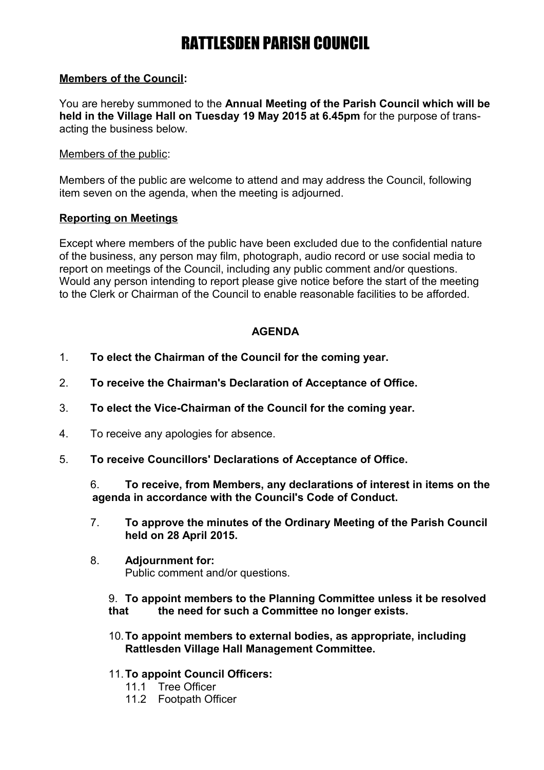## RATTLESDEN PARISH COUNCIL

### **Members of the Council:**

You are hereby summoned to the **Annual Meeting of the Parish Council which will be held in the Village Hall on Tuesday 19 May 2015 at 6.45pm** for the purpose of transacting the business below.

### Members of the public:

Members of the public are welcome to attend and may address the Council, following item seven on the agenda, when the meeting is adjourned.

### **Reporting on Meetings**

Except where members of the public have been excluded due to the confidential nature of the business, any person may film, photograph, audio record or use social media to report on meetings of the Council, including any public comment and/or questions. Would any person intending to report please give notice before the start of the meeting to the Clerk or Chairman of the Council to enable reasonable facilities to be afforded.

### **AGENDA**

- 1. **To elect the Chairman of the Council for the coming year.**
- 2. **To receive the Chairman's Declaration of Acceptance of Office.**
- 3. **To elect the Vice-Chairman of the Council for the coming year.**
- 4. To receive any apologies for absence.
- 5. **To receive Councillors' Declarations of Acceptance of Office.**

6. **To receive, from Members, any declarations of interest in items on the agenda in accordance with the Council's Code of Conduct.**

- 7. **To approve the minutes of the Ordinary Meeting of the Parish Council held on 28 April 2015.**
- 8. **Adjournment for:** Public comment and/or questions.

### 9. **To appoint members to the Planning Committee unless it be resolved that the need for such a Committee no longer exists.**

- 10.**To appoint members to external bodies, as appropriate, including Rattlesden Village Hall Management Committee.**
- 11.**To appoint Council Officers:**
	- 11.1 Tree Officer
	- 11.2 Footpath Officer